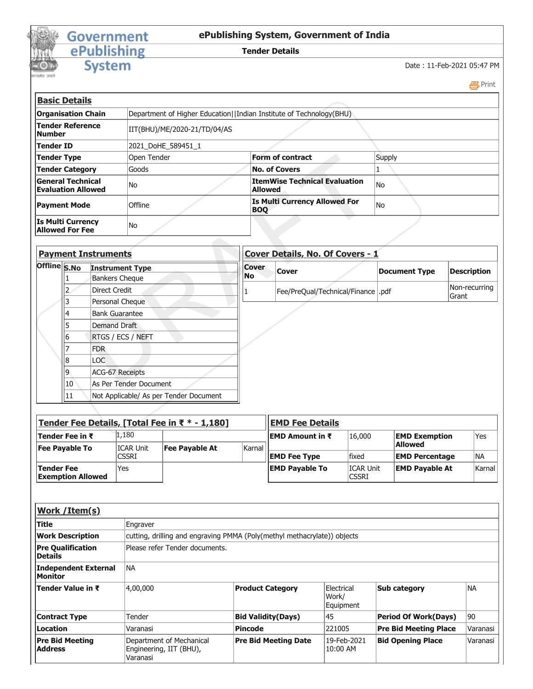

## Government<br>
ePublishing<br>
System

## **ePublishing System, Government of India**

**Tender Details**

Date : 11-Feb-2021 05:47 PM

Print

| <b>Basic Details</b>                                  |                              |                                                                     |        |  |  |  |  |
|-------------------------------------------------------|------------------------------|---------------------------------------------------------------------|--------|--|--|--|--|
| <b>Organisation Chain</b>                             |                              | Department of Higher Education  Indian Institute of Technology(BHU) |        |  |  |  |  |
| <b>Tender Reference</b><br><b>Number</b>              | IIT(BHU)/ME/2020-21/TD/04/AS |                                                                     |        |  |  |  |  |
| <b>Tender ID</b>                                      | 2021 DoHE 589451 1           |                                                                     |        |  |  |  |  |
| <b>Tender Type</b>                                    | Open Tender                  | <b>Form of contract</b>                                             | Supply |  |  |  |  |
| <b>Tender Category</b>                                | Goods                        | <b>No. of Covers</b>                                                |        |  |  |  |  |
| <b>General Technical</b><br><b>Evaluation Allowed</b> | No                           | <b>ItemWise Technical Evaluation</b><br><b>Allowed</b>              | l No   |  |  |  |  |
| <b>Payment Mode</b>                                   | Offline                      | <b>Is Multi Currency Allowed For</b><br><b>BOO</b>                  | No     |  |  |  |  |
| <b>Is Multi Currency</b><br><b>Allowed For Fee</b>    | No                           |                                                                     |        |  |  |  |  |

| <b>Payment Instruments</b> |    | Cover Details, No. Of Covers - 1       |              |                                      |                      |                               |  |
|----------------------------|----|----------------------------------------|--------------|--------------------------------------|----------------------|-------------------------------|--|
| Offline S.No               |    | <b>Instrument Type</b>                 | <b>Cover</b> | <b>Cover</b>                         | <b>Document Type</b> | <b>Description</b>            |  |
|                            |    | <b>Bankers Cheque</b>                  | No           |                                      |                      |                               |  |
|                            |    | <b>Direct Credit</b>                   |              | Fee/PreQual/Technical/Finance   .pdf |                      | Non-recurring<br><b>Grant</b> |  |
|                            |    | Personal Cheque                        |              |                                      |                      |                               |  |
|                            | 4  | <b>Bank Guarantee</b>                  |              |                                      |                      |                               |  |
|                            |    | Demand Draft                           |              |                                      |                      |                               |  |
|                            | 6  | <b>RTGS / ECS / NEFT</b>               |              |                                      |                      |                               |  |
|                            |    | <b>FDR</b>                             |              |                                      |                      |                               |  |
|                            | 8  | LOC                                    |              |                                      |                      |                               |  |
|                            | 9  | <b>ACG-67 Receipts</b>                 |              |                                      |                      |                               |  |
|                            | 10 | As Per Tender Document                 |              |                                      |                      |                               |  |
|                            | 11 | Not Applicable/ As per Tender Document |              |                                      |                      |                               |  |

| Tender Fee Details, [Total Fee in ₹ * - 1,180] |              |                |        | <b>EMD Fee Details</b> |                                  |                       |            |
|------------------------------------------------|--------------|----------------|--------|------------------------|----------------------------------|-----------------------|------------|
| Tender Fee in ₹                                | 1,180        |                |        | EMD Amount in ₹        | 16,000                           | <b>EMD Exemption</b>  | Yes        |
| <b>Fee Pavable To</b>                          | ICAR Unit    | Fee Payable At | Karnal |                        |                                  | <b>Allowed</b>        |            |
|                                                | <b>CSSRI</b> |                |        | <b>EMD Fee Type</b>    | <b>fixed</b>                     | <b>EMD Percentage</b> | <b>INA</b> |
| Tender Fee<br><b>Exemption Allowed</b>         | 'Yes         |                |        | <b>EMD Payable To</b>  | <b>ICAR Unit</b><br><b>CSSRI</b> | <b>EMD Payable At</b> | Karnal     |

| Work / Item(s)                                |                                                                          |                             |                                  |                              |           |  |  |
|-----------------------------------------------|--------------------------------------------------------------------------|-----------------------------|----------------------------------|------------------------------|-----------|--|--|
| <b>Title</b>                                  | Engraver                                                                 |                             |                                  |                              |           |  |  |
| <b>Work Description</b>                       | cutting, drilling and engraving PMMA (Poly(methyl methacrylate)) objects |                             |                                  |                              |           |  |  |
| <b>Pre Qualification</b><br>Details           | Please refer Tender documents.                                           |                             |                                  |                              |           |  |  |
| <b>Independent External</b><br><b>Monitor</b> | <b>NA</b>                                                                |                             |                                  |                              |           |  |  |
| Tender Value in ₹                             | 4,00,000                                                                 | <b>Product Category</b>     | Electrical<br>Work/<br>Equipment | <b>Sub category</b>          | <b>NA</b> |  |  |
| <b>Contract Type</b>                          | Tender                                                                   | <b>Bid Validity(Days)</b>   | 145                              | <b>Period Of Work(Days)</b>  | 90        |  |  |
| Location                                      | Varanasi                                                                 | <b>Pincode</b>              | 221005                           | <b>Pre Bid Meeting Place</b> | Varanasi  |  |  |
| <b>Pre Bid Meeting</b><br><b>Address</b>      | Department of Mechanical<br>Engineering, IIT (BHU),<br>Varanasi          | <b>Pre Bid Meeting Date</b> | 19-Feb-2021<br>10:00 AM          | <b>Bid Opening Place</b>     | Varanasi  |  |  |